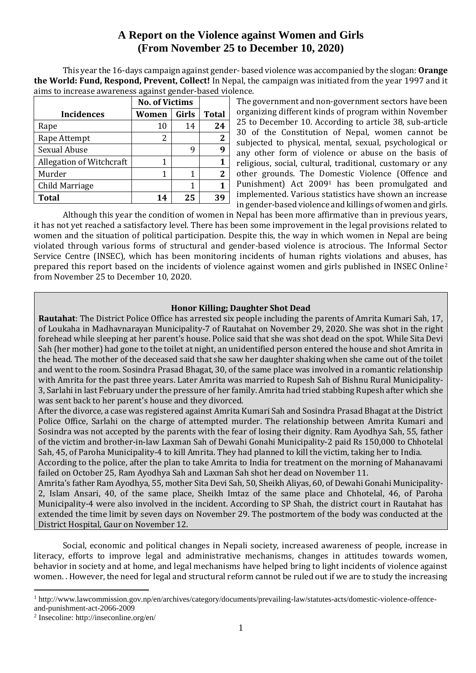# **A Report on the Violence against Women and Girls (From November 25 to December 10, 2020)**

This year the 16-days campaign against gender- based violence was accompanied by the slogan: **Orange the World: Fund, Respond, Prevent, Collect!** In Nepal, the campaign was initiated from the year 1997 and it aims to increase awareness against gender-based violence.

|                          | <b>No. of Victims</b> |       |              |
|--------------------------|-----------------------|-------|--------------|
| <b>Incidences</b>        | Women                 | Girls | <b>Total</b> |
| Rape                     | 10                    | 14    | 24           |
| Rape Attempt             | 2                     |       | 2            |
| Sexual Abuse             |                       | q     |              |
| Allegation of Witchcraft | 1                     |       |              |
| Murder                   | 1                     |       | $\mathbf{2}$ |
| Child Marriage           |                       |       |              |
| <b>Total</b>             | 14                    | 25    | Зd           |

The government and non-government sectors have been organizing different kinds of program within November 25 to December 10. According to article 38, sub-article 30 of the Constitution of Nepal, women cannot be subjected to physical, mental, sexual, psychological or any other form of violence or abuse on the basis of religious, social, cultural, traditional, customary or any other grounds. The Domestic Violence (Offence and Punishment) Act 2009<sup>1</sup> has been promulgated and implemented. Various statistics have shown an increase in gender-based violence and killings of women and girls.

Although this year the condition of women in Nepal has been more affirmative than in previous years, it has not yet reached a satisfactory level. There has been some improvement in the legal provisions related to women and the situation of political participation. Despite this, the way in which women in Nepal are being violated through various forms of structural and gender-based violence is atrocious. The Informal Sector Service Centre (INSEC), which has been monitoring incidents of human rights violations and abuses, has prepared this report based on the incidents of violence against women and girls published in INSEC Online<sup>2</sup> from November 25 to December 10, 2020.

# **Honor Killing; Daughter Shot Dead**

**Rautahat**: The District Police Office has arrested six people including the parents of Amrita Kumari Sah, 17, of Loukaha in Madhavnarayan Municipality-7 of Rautahat on November 29, 2020. She was shot in the right forehead while sleeping at her parent's house. Police said that she was shot dead on the spot. While Sita Devi Sah (her mother) had gone to the toilet at night, an unidentified person entered the house and shot Amrita in the head. The mother of the deceased said that she saw her daughter shaking when she came out of the toilet and went to the room. Sosindra Prasad Bhagat, 30, of the same place was involved in a romantic relationship with Amrita for the past three years. Later Amrita was married to Rupesh Sah of Bishnu Rural Municipality-3, Sarlahi in last February under the pressure of her family. Amrita had tried stabbing Rupesh after which she was sent back to her parent's house and they divorced.

After the divorce, a case was registered against Amrita Kumari Sah and Sosindra Prasad Bhagat at the District Police Office, Sarlahi on the charge of attempted murder. The relationship between Amrita Kumari and Sosindra was not accepted by the parents with the fear of losing their dignity. Ram Ayodhya Sah, 55, father of the victim and brother-in-law Laxman Sah of Dewahi Gonahi Municipality-2 paid Rs 150,000 to Chhotelal Sah, 45, of Paroha Municipality-4 to kill Amrita. They had planned to kill the victim, taking her to India.

According to the police, after the plan to take Amrita to India for treatment on the morning of Mahanavami failed on October 25, Ram Ayodhya Sah and Laxman Sah shot her dead on November 11.

Amrita's father Ram Ayodhya, 55, mother Sita Devi Sah, 50, Sheikh Aliyas, 60, of Dewahi Gonahi Municipality-2, Islam Ansari, 40, of the same place, Sheikh Imtaz of the same place and Chhotelal, 46, of Paroha Municipality-4 were also involved in the incident. According to SP Shah, the district court in Rautahat has extended the time limit by seven days on November 29. The postmortem of the body was conducted at the District Hospital, Gaur on November 12.

Social, economic and political changes in Nepali society, increased awareness of people, increase in literacy, efforts to improve legal and administrative mechanisms, changes in attitudes towards women, behavior in society and at home, and legal mechanisms have helped bring to light incidents of violence against women. . However, the need for legal and structural reform cannot be ruled out if we are to study the increasing

<sup>1</sup> http://www.lawcommission.gov.np/en/archives/category/documents/prevailing-law/statutes-acts/domestic-violence-offenceand-punishment-act-2066-2009

 $\overline{a}$ 

<sup>2</sup> Insecoline: http://inseconline.org/en/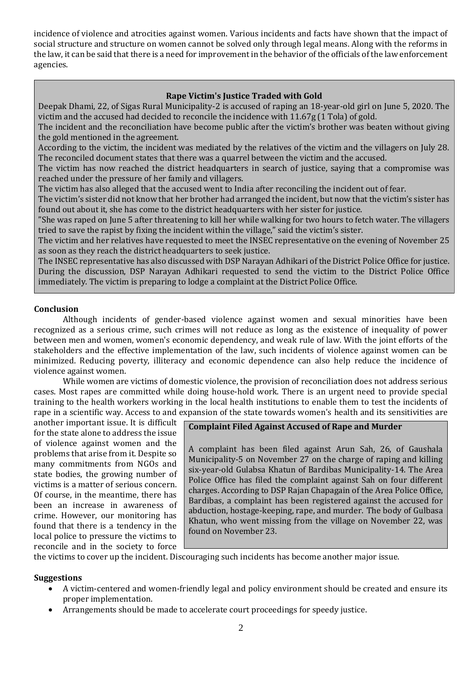incidence of violence and atrocities against women. Various incidents and facts have shown that the impact of social structure and structure on women cannot be solved only through legal means. Along with the reforms in the law, it can be said that there is a need for improvement in the behavior of the officials of the law enforcement agencies.

## **Rape Victim's Justice Traded with Gold**

Deepak Dhami, 22, of Sigas Rural Municipality-2 is accused of raping an 18-year-old girl on June 5, 2020. The victim and the accused had decided to reconcile the incidence with 11.67g (1 Tola) of gold.

The incident and the reconciliation have become public after the victim's brother was beaten without giving the gold mentioned in the agreement.

According to the victim, the incident was mediated by the relatives of the victim and the villagers on July 28. The reconciled document states that there was a quarrel between the victim and the accused.

The victim has now reached the district headquarters in search of justice, saying that a compromise was reached under the pressure of her family and villagers.

The victim has also alleged that the accused went to India after reconciling the incident out of fear.

The victim's sister did not know that her brother had arranged the incident, but now that the victim's sister has found out about it, she has come to the district headquarters with her sister for justice.

"She was raped on June 5 after threatening to kill her while walking for two hours to fetch water. The villagers tried to save the rapist by fixing the incident within the village," said the victim's sister.

The victim and her relatives have requested to meet the INSEC representative on the evening of November 25 as soon as they reach the district headquarters to seek justice.

The INSEC representative has also discussed with DSP Narayan Adhikari of the District Police Office for justice. During the discussion, DSP Narayan Adhikari requested to send the victim to the District Police Office immediately. The victim is preparing to lodge a complaint at the District Police Office.

### **Conclusion**

Although incidents of gender-based violence against women and sexual minorities have been recognized as a serious crime, such crimes will not reduce as long as the existence of inequality of power between men and women, women's economic dependency, and weak rule of law. With the joint efforts of the stakeholders and the effective implementation of the law, such incidents of violence against women can be minimized. Reducing poverty, illiteracy and economic dependence can also help reduce the incidence of violence against women.

While women are victims of domestic violence, the provision of reconciliation does not address serious cases. Most rapes are committed while doing house-hold work. There is an urgent need to provide special training to the health workers working in the local health institutions to enable them to test the incidents of rape in a scientific way. Access to and expansion of the state towards women's health and its sensitivities are

another important issue. It is difficult for the state alone to address the issue of violence against women and the problems that arise from it. Despite so many commitments from NGOs and state bodies, the growing number of victims is a matter of serious concern. Of course, in the meantime, there has been an increase in awareness of crime. However, our monitoring has found that there is a tendency in the local police to pressure the victims to reconcile and in the society to force

### **Complaint Filed Against Accused of Rape and Murder**

A complaint has been filed against Arun Sah, 26, of Gaushala Municipality-5 on November 27 on the charge of raping and killing six-year-old Gulabsa Khatun of Bardibas Municipality-14. The Area Police Office has filed the complaint against Sah on four different charges. According to DSP Rajan Chapagain of the Area Police Office, Bardibas, a complaint has been registered against the accused for abduction, hostage-keeping, rape, and murder. The body of Gulbasa Khatun, who went missing from the village on November 22, was found on November 23.

the victims to cover up the incident. Discouraging such incidents has become another major issue.

#### **Suggestions**

- A victim-centered and women-friendly legal and policy environment should be created and ensure its proper implementation.
- Arrangements should be made to accelerate court proceedings for speedy justice.